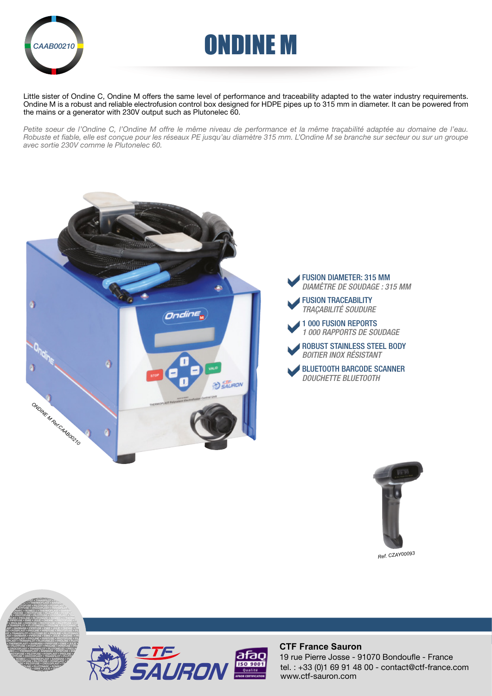



Little sister of Ondine C, Ondine M offers the same level of performance and traceability adapted to the water industry requirements. Ondine M is a robust and reliable electrofusion control box designed for HDPE pipes up to 315 mm in diameter. It can be powered from the mains or a generator with 230V output such as Plutonelec 60.

*Petite soeur de l'Ondine C, l'Ondine M offre le même niveau de performance et la même traçabilité adaptée au domaine de l'eau. Robuste et fiable, elle est conçue pour les réseaux PE jusqu'au diamètre 315 mm. L'Ondine M se branche sur secteur ou sur un groupe avec sortie 230V comme le Plutonelec 60.*







*Ref. CZAY00093*





### **CTF France Sauron**

tel. : +33 (0)1 69 91 48 00 - contact@ctf-france.com www.ctf-sauron.com 19 rue Pierre Josse - 91070 Bondoufle - France